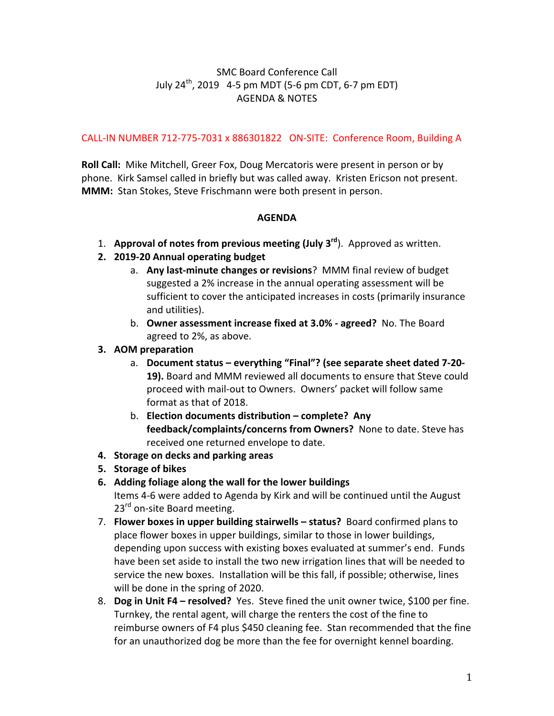## SMC Board Conference Call July  $24^{th}$ , 2019 4-5 pm MDT (5-6 pm CDT, 6-7 pm EDT) AGENDA & NOTES

## CALL-IN NUMBER 712-775-7031 x 886301822 ON-SITE: Conference Room, Building A

**Roll Call:** Mike Mitchell, Greer Fox, Doug Mercatoris were present in person or by phone. Kirk Samsel called in briefly but was called away. Kristen Ericson not present. **MMM:** Stan Stokes, Steve Frischmann were both present in person.

## **AGENDA**

- 1. **Approval of notes from previous meeting (July 3<sup>rd</sup>).** Approved as written.
- **2. 2019-20 Annual operating budget**
	- a. Any last-minute changes or revisions? MMM final review of budget suggested a 2% increase in the annual operating assessment will be sufficient to cover the anticipated increases in costs (primarily insurance and utilities).
	- b. Owner assessment increase fixed at 3.0% agreed? No. The Board agreed to 2%, as above.
- **3. AOM preparation**
	- a. Document status everything "Final"? (see separate sheet dated 7-20-**19).** Board and MMM reviewed all documents to ensure that Steve could proceed with mail-out to Owners. Owners' packet will follow same format as that of 2018.
	- b. **Election documents distribution complete? Any** feedback/complaints/concerns from Owners? None to date. Steve has received one returned envelope to date.
- **4. Storage on decks and parking areas**
- **5. Storage of bikes**
- **6.** Adding foliage along the wall for the lower buildings Items 4-6 were added to Agenda by Kirk and will be continued until the August 23<sup>rd</sup> on-site Board meeting.
- 7. **Flower boxes in upper building stairwells status?** Board confirmed plans to place flower boxes in upper buildings, similar to those in lower buildings, depending upon success with existing boxes evaluated at summer's end. Funds have been set aside to install the two new irrigation lines that will be needed to service the new boxes. Installation will be this fall, if possible; otherwise, lines will be done in the spring of 2020.
- 8. **Dog in Unit F4 resolved?** Yes. Steve fined the unit owner twice, \$100 per fine. Turnkey, the rental agent, will charge the renters the cost of the fine to reimburse owners of F4 plus \$450 cleaning fee. Stan recommended that the fine for an unauthorized dog be more than the fee for overnight kennel boarding.